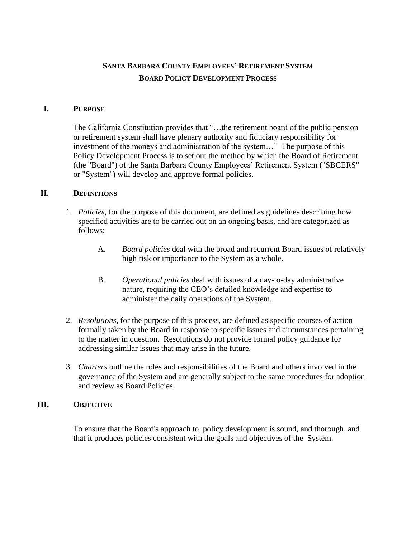# **SANTA BARBARA COUNTY EMPLOYEES' RETIREMENT SYSTEM BOARD POLICY DEVELOPMENT PROCESS**

#### **I. PURPOSE**

The California Constitution provides that "…the retirement board of the public pension or retirement system shall have plenary authority and fiduciary responsibility for investment of the moneys and administration of the system…" The purpose of this Policy Development Process is to set out the method by which the Board of Retirement (the "Board") of the Santa Barbara County Employees' Retirement System ("SBCERS" or "System") will develop and approve formal policies.

#### **II. DEFINITIONS**

- 1. *Policies*, for the purpose of this document, are defined as guidelines describing how specified activities are to be carried out on an ongoing basis, and are categorized as follows:
	- A. *Board policies* deal with the broad and recurrent Board issues of relatively high risk or importance to the System as a whole.
	- B. *Operational policies* deal with issues of a day-to-day administrative nature, requiring the CEO's detailed knowledge and expertise to administer the daily operations of the System.
- 2. *Resolutions,* for the purpose of this process, are defined as specific courses of action formally taken by the Board in response to specific issues and circumstances pertaining to the matter in question. Resolutions do not provide formal policy guidance for addressing similar issues that may arise in the future.
- 3. *Charters* outline the roles and responsibilities of the Board and others involved in the governance of the System and are generally subject to the same procedures for adoption and review as Board Policies.

# **III. OBJECTIVE**

To ensure that the Board's approach to policy development is sound, and thorough, and that it produces policies consistent with the goals and objectives of the System.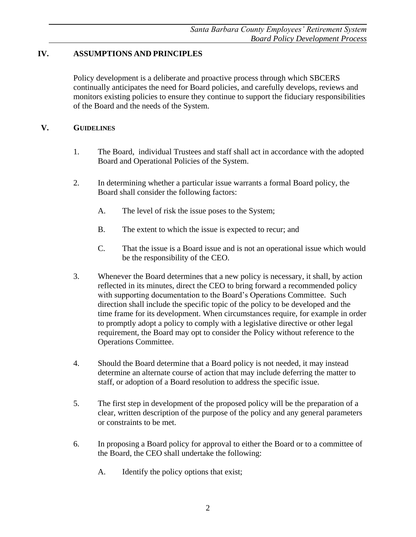# **IV. ASSUMPTIONS AND PRINCIPLES**

Policy development is a deliberate and proactive process through which SBCERS continually anticipates the need for Board policies, and carefully develops, reviews and monitors existing policies to ensure they continue to support the fiduciary responsibilities of the Board and the needs of the System.

# **V. GUIDELINES**

- 1. The Board, individual Trustees and staff shall act in accordance with the adopted Board and Operational Policies of the System.
- 2. In determining whether a particular issue warrants a formal Board policy, the Board shall consider the following factors:
	- A. The level of risk the issue poses to the System;
	- B. The extent to which the issue is expected to recur; and
	- C. That the issue is a Board issue and is not an operational issue which would be the responsibility of the CEO.
- 3. Whenever the Board determines that a new policy is necessary, it shall, by action reflected in its minutes, direct the CEO to bring forward a recommended policy with supporting documentation to the Board's Operations Committee. Such direction shall include the specific topic of the policy to be developed and the time frame for its development. When circumstances require, for example in order to promptly adopt a policy to comply with a legislative directive or other legal requirement, the Board may opt to consider the Policy without reference to the Operations Committee.
- 4. Should the Board determine that a Board policy is not needed, it may instead determine an alternate course of action that may include deferring the matter to staff, or adoption of a Board resolution to address the specific issue.
- 5. The first step in development of the proposed policy will be the preparation of a clear, written description of the purpose of the policy and any general parameters or constraints to be met.
- 6. In proposing a Board policy for approval to either the Board or to a committee of the Board, the CEO shall undertake the following:
	- A. Identify the policy options that exist;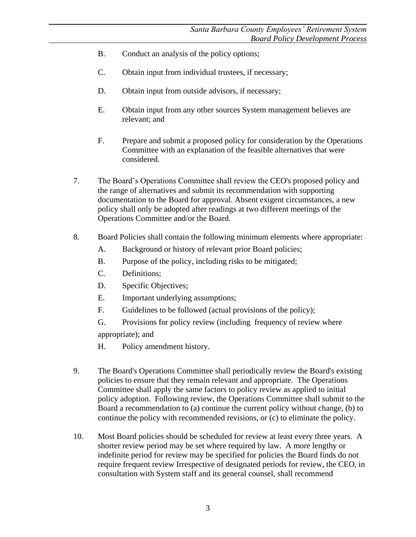- B. Conduct an analysis of the policy options;
- C. Obtain input from individual trustees, if necessary;
- D. Obtain input from outside advisors, if necessary;
- E. Obtain input from any other sources System management believes are relevant; and
- F. Prepare and submit a proposed policy for consideration by the Operations Committee with an explanation of the feasible alternatives that were considered.
- 7. The Board's Operations Committee shall review the CEO's proposed policy and the range of alternatives and submit its recommendation with supporting documentation to the Board for approval. Absent exigent circumstances, a new policy shall only be adopted after readings at two different meetings of the Operations Committee and/or the Board.
- 8. Board Policies shall contain the following minimum elements where appropriate:
	- A. Background or history of relevant prior Board policies;
	- B. Purpose of the policy, including risks to be mitigated;
	- C. Definitions;
	- D. Specific Objectives;
	- E. Important underlying assumptions;
	- F. Guidelines to be followed (actual provisions of the policy);
	- G. Provisions for policy review (including frequency of review where

appropriate); and

- H. Policy amendment history.
- 9. The Board's Operations Committee shall periodically review the Board's existing policies to ensure that they remain relevant and appropriate. The Operations Committee shall apply the same factors to policy review as applied to initial policy adoption. Following review, the Operations Committee shall submit to the Board a recommendation to (a) continue the current policy without change, (b) to continue the policy with recommended revisions, or (c) to eliminate the policy.
- 10. Most Board policies should be scheduled for review at least every three years. A shorter review period may be set where required by law. A more lengthy or indefinite period for review may be specified for policies the Board finds do not require frequent review Irrespective of designated periods for review, the CEO, in consultation with System staff and its general counsel, shall recommend